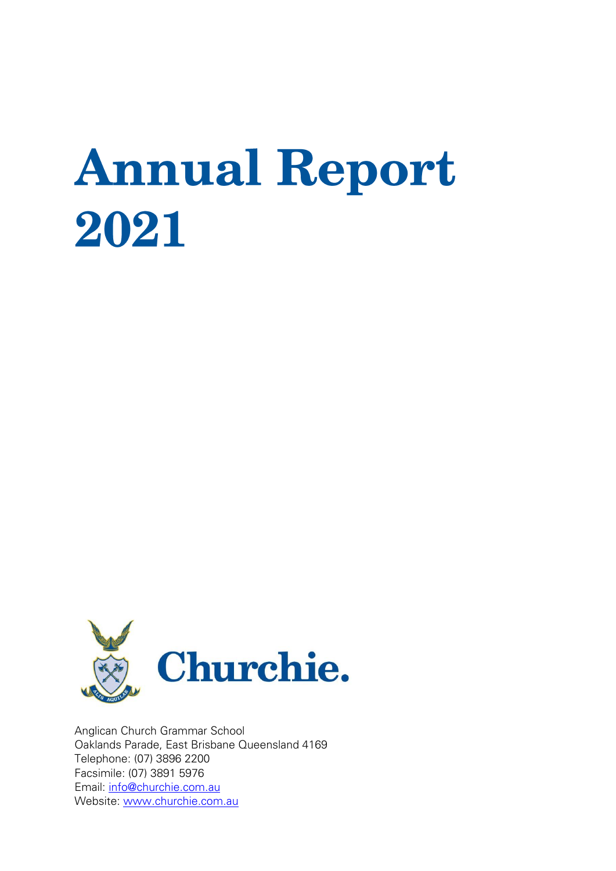# **Annual Report** 2021



Anglican Church Grammar School Oaklands Parade, East Brisbane Queensland 4169 Telephone: (07) 3896 2200 Facsimile: (07) 3891 5976 Email: [info@churchie.com.au](mailto:info@churchie.com.au) Website: [www.churchie.com.au](http://www.churchie.com.au/)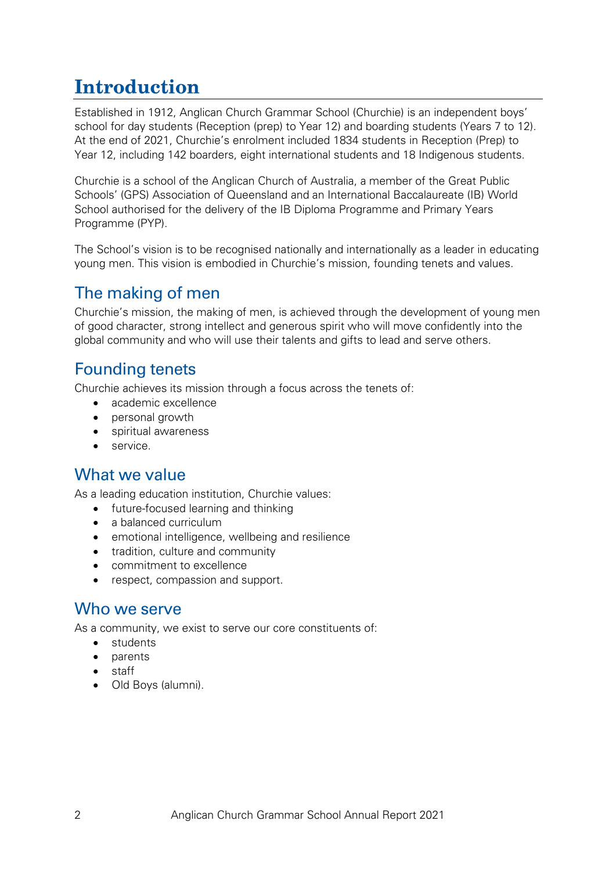# **Introduction**

Established in 1912, Anglican Church Grammar School (Churchie) is an independent boys' school for day students (Reception (prep) to Year 12) and boarding students (Years 7 to 12). At the end of 2021, Churchie's enrolment included 1834 students in Reception (Prep) to Year 12, including 142 boarders, eight international students and 18 Indigenous students.

Churchie is a school of the Anglican Church of Australia, a member of the Great Public Schools' (GPS) Association of Queensland and an International Baccalaureate (IB) World School authorised for the delivery of the IB Diploma Programme and Primary Years Programme (PYP).

The School's vision is to be recognised nationally and internationally as a leader in educating young men. This vision is embodied in Churchie's mission, founding tenets and values.

## The making of men

Churchie's mission, the making of men, is achieved through the development of young men of good character, strong intellect and generous spirit who will move confidently into the global community and who will use their talents and gifts to lead and serve others.

#### Founding tenets

Churchie achieves its mission through a focus across the tenets of:

- academic excellence
- personal growth
- spiritual awareness
- service.

#### What we value

As a leading education institution, Churchie values:

- future-focused learning and thinking
- a balanced curriculum
- emotional intelligence, wellbeing and resilience
- tradition, culture and community
- commitment to excellence
- respect, compassion and support.

#### Who we serve

As a community, we exist to serve our core constituents of:

- students
- parents
- staff
- Old Boys (alumni).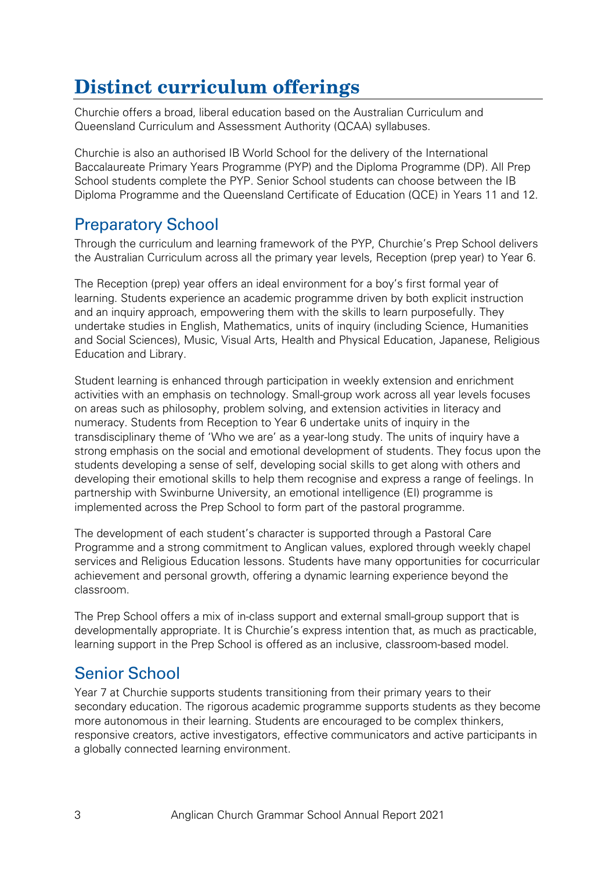# **Distinct curriculum offerings**

Churchie offers a broad, liberal education based on the Australian Curriculum and Queensland Curriculum and Assessment Authority (QCAA) syllabuses.

Churchie is also an authorised IB World School for the delivery of the [International](https://www.churchie.com.au/about-churchie/preparatory-school/international-baccalaureate)  [Baccalaureate Primary Years Programme](https://www.churchie.com.au/about-churchie/preparatory-school/international-baccalaureate) (PYP) and the Diploma Programme (DP). All Prep School students complete the PYP. Senior School students can choose between the IB Diploma Programme and the Queensland Certificate of Education (QCE) in Years 11 and 12.

#### Preparatory School

Through the curriculum and learning framework of the PYP, Churchie's Prep School delivers the Australian Curriculum across all the primary year levels, Reception (prep year) to Year 6.

The Reception (prep) year offers an ideal environment for a boy's first formal year of learning. Students experience an academic programme driven by both explicit instruction and an inquiry approach, empowering them with the skills to learn purposefully. They undertake studies in English, Mathematics, units of inquiry (including Science, Humanities and Social Sciences), Music, Visual Arts, Health and Physical Education, Japanese, Religious Education and Library.

Student learning is enhanced through participation in weekly extension and enrichment activities with an emphasis on technology. Small-group work across all year levels focuses on areas such as philosophy, problem solving, and extension activities in literacy and numeracy. Students from Reception to Year 6 undertake units of inquiry in the transdisciplinary theme of 'Who we are' as a year-long study. The units of inquiry have a strong emphasis on the social and emotional development of students. They focus upon the students developing a sense of self, developing social skills to get along with others and developing their emotional skills to help them recognise and express a range of feelings. In partnership with Swinburne University, an emotional intelligence (EI) programme is implemented across the Prep School to form part of the pastoral programme.

The development of each student's character is supported through a Pastoral Care Programme and a strong commitment to Anglican values, explored through weekly chapel services and Religious Education lessons. Students have many opportunities for cocurricular achievement and personal growth, offering a dynamic learning experience beyond the classroom.

The Prep School offers a mix of in-class support and external small-group support that is developmentally appropriate. It is Churchie's express intention that, as much as practicable, learning support in the Prep School is offered as an inclusive, classroom-based model.

#### Senior School

Year 7 at Churchie supports students transitioning from their primary years to their secondary education. The rigorous academic programme supports students as they become more autonomous in their learning. Students are encouraged to be complex thinkers, responsive creators, active investigators, effective communicators and active participants in a globally connected learning environment.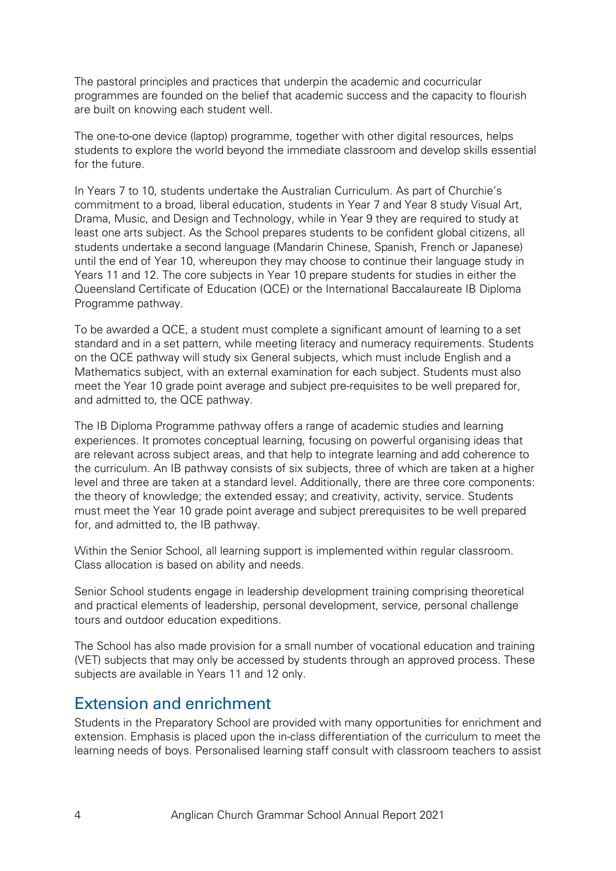The pastoral principles and practices that underpin the academic and cocurricular programmes are founded on the belief that academic success and the capacity to flourish are built on knowing each student well.

The one-to-one device (laptop) programme, together with other digital resources, helps students to explore the world beyond the immediate classroom and develop skills essential for the future.

In Years 7 to 10, students undertake the Australian Curriculum. As part of Churchie's commitment to a broad, liberal education, students in Year 7 and Year 8 study Visual Art, Drama, Music, and Design and Technology, while in Year 9 they are required to study at least one arts subject. As the School prepares students to be confident global citizens, all students undertake a second language (Mandarin Chinese, Spanish, French or Japanese) until the end of Year 10, whereupon they may choose to continue their language study in Years 11 and 12. The core subjects in Year 10 prepare students for studies in either the Queensland Certificate of Education (QCE) or the International Baccalaureate IB Diploma Programme pathway.

To be awarded a QCE, a student must complete a significant amount of learning to a set standard and in a set pattern, while meeting literacy and numeracy requirements. Students on the QCE pathway will study six General subjects, which must include English and a Mathematics subject, with an external examination for each subject. Students must also meet the Year 10 grade point average and subject pre-requisites to be well prepared for, and admitted to, the QCE pathway.

The IB Diploma Programme pathway offers a range of academic studies and learning experiences. It promotes conceptual learning, focusing on powerful organising ideas that are relevant across subject areas, and that help to integrate learning and add coherence to the curriculum. An IB pathway consists of six subjects, three of which are taken at a higher level and three are taken at a standard level. Additionally, there are three core components: the theory of knowledge; the extended essay; and creativity, activity, service. Students must meet the Year 10 grade point average and subject prerequisites to be well prepared for, and admitted to, the IB pathway.

Within the Senior School, all learning support is implemented within regular classroom. Class allocation is based on ability and needs.

Senior School students engage in leadership development training comprising theoretical and practical elements of leadership, personal development, service, personal challenge tours and outdoor education expeditions.

The School has also made provision for a small number of vocational education and training (VET) subjects that may only be accessed by students through an approved process. These subjects are available in Years 11 and 12 only.

#### Extension and enrichment

Students in the Preparatory School are provided with many opportunities for enrichment and extension. Emphasis is placed upon the in-class differentiation of the curriculum to meet the learning needs of boys. Personalised learning staff consult with classroom teachers to assist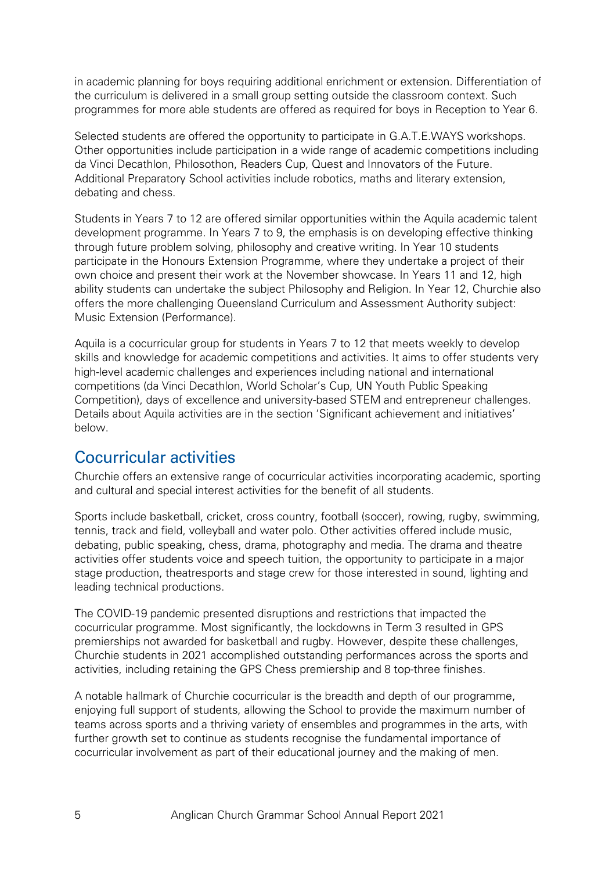in academic planning for boys requiring additional enrichment or extension. Differentiation of the curriculum is delivered in a small group setting outside the classroom context. Such programmes for more able students are offered as required for boys in Reception to Year 6.

Selected students are offered the opportunity to participate in G.A.T.E.WAYS workshops. Other opportunities include participation in a wide range of academic competitions including da Vinci Decathlon, Philosothon, Readers Cup, Quest and Innovators of the Future. Additional Preparatory School activities include robotics, maths and literary extension, debating and chess.

Students in Years 7 to 12 are offered similar opportunities within the Aquila academic talent development programme. In Years 7 to 9, the emphasis is on developing effective thinking through future problem solving, philosophy and creative writing. In Year 10 students participate in the Honours Extension Programme, where they undertake a project of their own choice and present their work at the November showcase. In Years 11 and 12, high ability students can undertake the subject Philosophy and Religion. In Year 12, Churchie also offers the more challenging Queensland Curriculum and Assessment Authority subject: Music Extension (Performance).

Aquila is a cocurricular group for students in Years 7 to 12 that meets weekly to develop skills and knowledge for academic competitions and activities. It aims to offer students very high-level academic challenges and experiences including national and international competitions (da Vinci Decathlon, World Scholar's Cup, UN Youth Public Speaking Competition), days of excellence and university-based STEM and entrepreneur challenges. Details about Aquila activities are in the section 'Significant achievement and initiatives' below.

#### Cocurricular activities

Churchie offers an extensive range of cocurricular activities incorporating academic, sporting and cultural and special interest activities for the benefit of all students.

Sports include basketball, cricket, cross country, football (soccer), rowing, rugby, swimming, tennis, track and field, volleyball and water polo. Other activities offered include music, debating, public speaking, chess, drama, photography and media. The drama and theatre activities offer students voice and speech tuition, the opportunity to participate in a major stage production, theatresports and stage crew for those interested in sound, lighting and leading technical productions.

The COVID-19 pandemic presented disruptions and restrictions that impacted the cocurricular programme. Most significantly, the lockdowns in Term 3 resulted in GPS premierships not awarded for basketball and rugby. However, despite these challenges, Churchie students in 2021 accomplished outstanding performances across the sports and activities, including retaining the GPS Chess premiership and 8 top-three finishes.

A notable hallmark of Churchie cocurricular is the breadth and depth of our programme, enjoying full support of students, allowing the School to provide the maximum number of teams across sports and a thriving variety of ensembles and programmes in the arts, with further growth set to continue as students recognise the fundamental importance of cocurricular involvement as part of their educational journey and the making of men.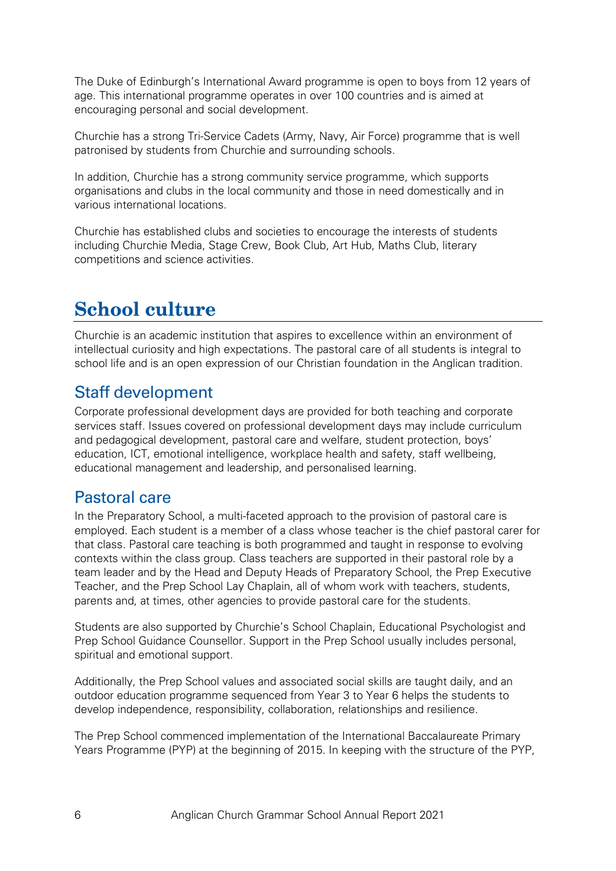The Duke of Edinburgh's International Award programme is open to boys from 12 years of age. This international programme operates in over 100 countries and is aimed at encouraging personal and social development.

Churchie has a strong Tri-Service Cadets (Army, Navy, Air Force) programme that is well patronised by students from Churchie and surrounding schools.

In addition, Churchie has a strong community service programme, which supports organisations and clubs in the local community and those in need domestically and in various international locations.

Churchie has established clubs and societies to encourage the interests of students including Churchie Media, Stage Crew, Book Club, Art Hub, Maths Club, literary competitions and science activities.

# **School culture**

Churchie is an academic institution that aspires to excellence within an environment of intellectual curiosity and high expectations. The pastoral care of all students is integral to school life and is an open expression of our Christian foundation in the Anglican tradition.

#### Staff development

Corporate professional development days are provided for both teaching and corporate services staff. Issues covered on professional development days may include curriculum and pedagogical development, pastoral care and welfare, student protection, boys' education, ICT, emotional intelligence, workplace health and safety, staff wellbeing, educational management and leadership, and personalised learning.

#### Pastoral care

In the Preparatory School, a multi-faceted approach to the provision of pastoral care is employed. Each student is a member of a class whose teacher is the chief pastoral carer for that class. Pastoral care teaching is both programmed and taught in response to evolving contexts within the class group. Class teachers are supported in their pastoral role by a team leader and by the Head and Deputy Heads of Preparatory School, the Prep Executive Teacher, and the Prep School Lay Chaplain, all of whom work with teachers, students, parents and, at times, other agencies to provide pastoral care for the students.

Students are also supported by Churchie's School Chaplain, Educational Psychologist and Prep School Guidance Counsellor. Support in the Prep School usually includes personal, spiritual and emotional support.

Additionally, the Prep School values and associated social skills are taught daily, and an outdoor education programme sequenced from Year 3 to Year 6 helps the students to develop independence, responsibility, collaboration, relationships and resilience.

The Prep School commenced implementation of the International Baccalaureate Primary Years Programme (PYP) at the beginning of 2015. In keeping with the structure of the PYP,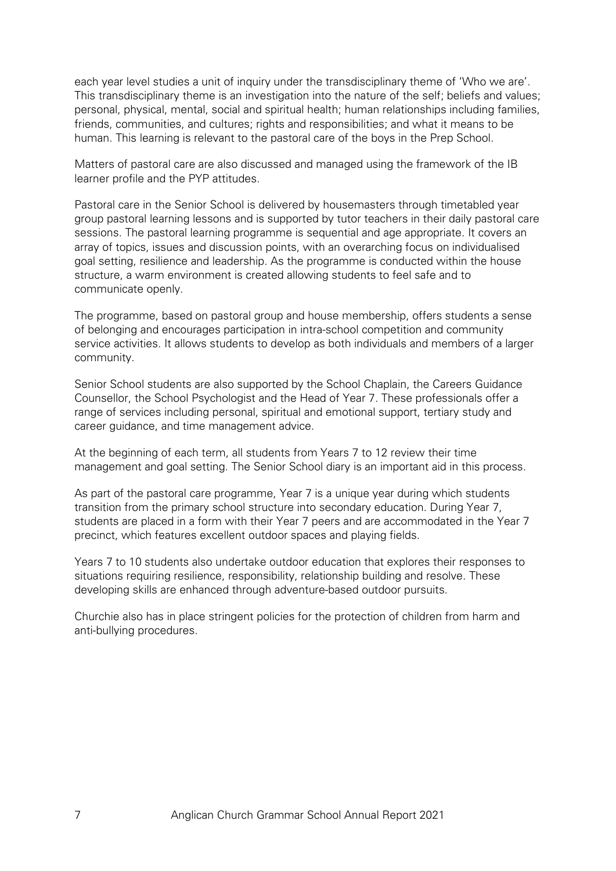each year level studies a unit of inquiry under the transdisciplinary theme of 'Who we are'. This transdisciplinary theme is an investigation into the nature of the self; beliefs and values; personal, physical, mental, social and spiritual health; human relationships including families, friends, communities, and cultures; rights and responsibilities; and what it means to be human. This learning is relevant to the pastoral care of the boys in the Prep School.

Matters of pastoral care are also discussed and managed using the framework of the IB learner profile and the PYP attitudes.

Pastoral care in the Senior School is delivered by housemasters through timetabled year group pastoral learning lessons and is supported by tutor teachers in their daily pastoral care sessions. The pastoral learning programme is sequential and age appropriate. It covers an array of topics, issues and discussion points, with an overarching focus on individualised goal setting, resilience and leadership. As the programme is conducted within the house structure, a warm environment is created allowing students to feel safe and to communicate openly.

The programme, based on pastoral group and house membership, offers students a sense of belonging and encourages participation in intra-school competition and community service activities. It allows students to develop as both individuals and members of a larger community.

Senior School students are also supported by the School Chaplain, the Careers Guidance Counsellor, the School Psychologist and the Head of Year 7. These professionals offer a range of services including personal, spiritual and emotional support, tertiary study and career guidance, and time management advice.

At the beginning of each term, all students from Years 7 to 12 review their time management and goal setting. The Senior School diary is an important aid in this process.

As part of the pastoral care programme, Year 7 is a unique year during which students transition from the primary school structure into secondary education. During Year 7, students are placed in a form with their Year 7 peers and are accommodated in the Year 7 precinct, which features excellent outdoor spaces and playing fields.

Years 7 to 10 students also undertake outdoor education that explores their responses to situations requiring resilience, responsibility, relationship building and resolve. These developing skills are enhanced through adventure-based outdoor pursuits.

Churchie also has in place stringent policies for the protection of children from harm and anti-bullying procedures.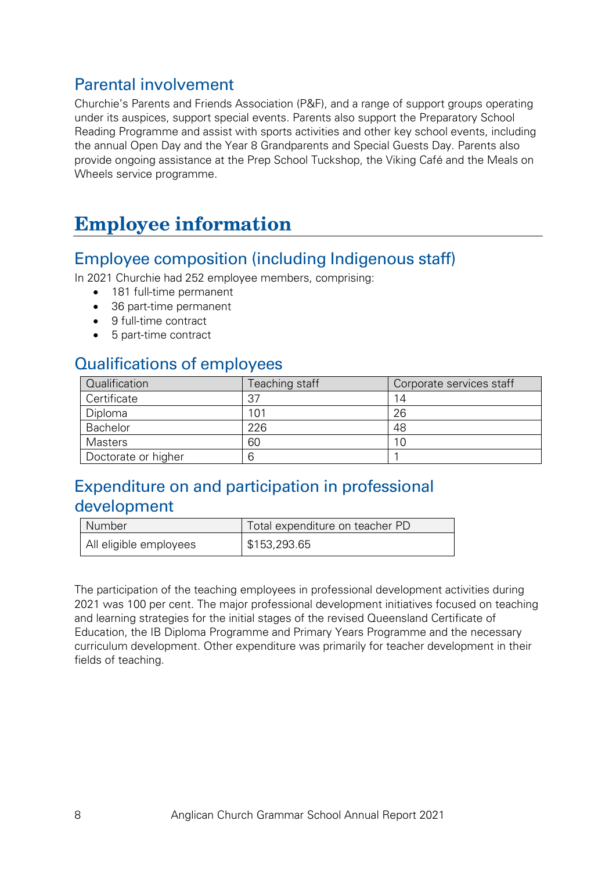### Parental involvement

Churchie's Parents and Friends Association (P&F), and a range of support groups operating under its auspices, support special events. Parents also support the Preparatory School Reading Programme and assist with sports activities and other key school events, including the annual Open Day and the Year 8 Grandparents and Special Guests Day. Parents also provide ongoing assistance at the Prep School Tuckshop, the Viking Café and the Meals on Wheels service programme.

# **Employee information**

#### Employee composition (including Indigenous staff)

In 2021 Churchie had 252 employee members, comprising:

- 181 full-time permanent
- 36 part-time permanent
- 9 full-time contract
- 5 part-time contract

## Qualifications of employees

| Qualification       | Teaching staff | Corporate services staff |
|---------------------|----------------|--------------------------|
| Certificate         | 37             | 14                       |
| Diploma             | 101            | 26                       |
| <b>Bachelor</b>     | 226            | 48                       |
| <b>Masters</b>      | 60             |                          |
| Doctorate or higher |                |                          |

# Expenditure on and participation in professional development

| Number                 | Total expenditure on teacher PD |  |
|------------------------|---------------------------------|--|
| All eligible employees | \$153,293.65                    |  |

The participation of the teaching employees in professional development activities during 2021 was 100 per cent. The major professional development initiatives focused on teaching and learning strategies for the initial stages of the revised Queensland Certificate of Education, the IB Diploma Programme and Primary Years Programme and the necessary curriculum development. Other expenditure was primarily for teacher development in their fields of teaching.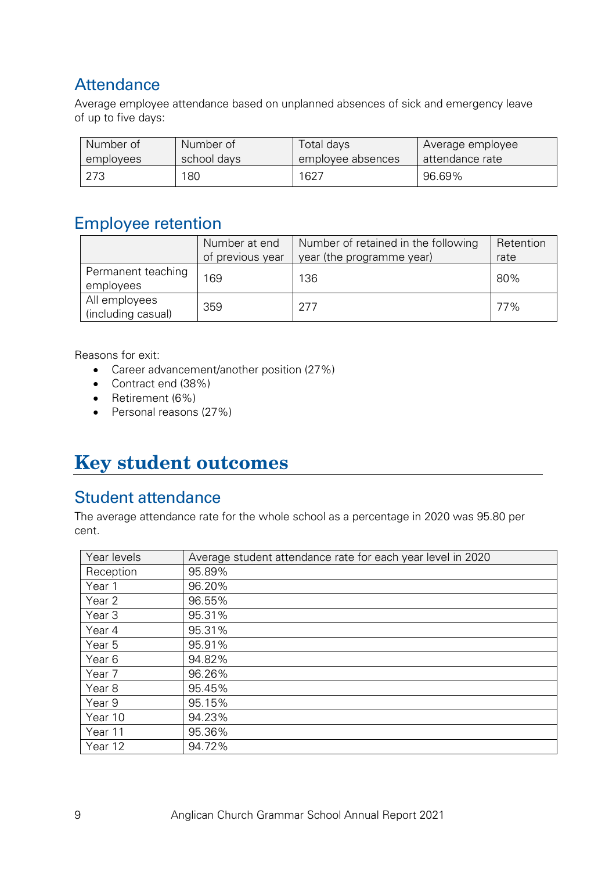# **Attendance**

Average employee attendance based on unplanned absences of sick and emergency leave of up to five days:

| Number of | Number of   | Total days        | Average employee |
|-----------|-------------|-------------------|------------------|
| employees | school days | employee absences | attendance rate  |
| 273       | 180         | 1627              | 96.69%           |

## Employee retention

|                                     | Number at end<br>of previous year | Number of retained in the following<br>year (the programme year) | Retention<br>rate |
|-------------------------------------|-----------------------------------|------------------------------------------------------------------|-------------------|
| Permanent teaching<br>employees     | 169                               | 136                                                              | 80%               |
| All employees<br>(including casual) | 359                               | 277                                                              | 77%               |

Reasons for exit:

- Career advancement/another position (27%)
- Contract end (38%)
- Retirement (6%)
- Personal reasons (27%)

# **Key student outcomes**

#### Student attendance

The average attendance rate for the whole school as a percentage in 2020 was 95.80 per cent.

| Year levels       | Average student attendance rate for each year level in 2020 |
|-------------------|-------------------------------------------------------------|
| Reception         | 95.89%                                                      |
| Year 1            | 96.20%                                                      |
| Year 2            | 96.55%                                                      |
| Year <sub>3</sub> | 95.31%                                                      |
| Year 4            | 95.31%                                                      |
| Year 5            | 95.91%                                                      |
| Year 6            | 94.82%                                                      |
| Year 7            | 96.26%                                                      |
| Year <sub>8</sub> | 95.45%                                                      |
| Year 9            | 95.15%                                                      |
| Year 10           | 94.23%                                                      |
| Year 11           | 95.36%                                                      |
| Year 12           | 94.72%                                                      |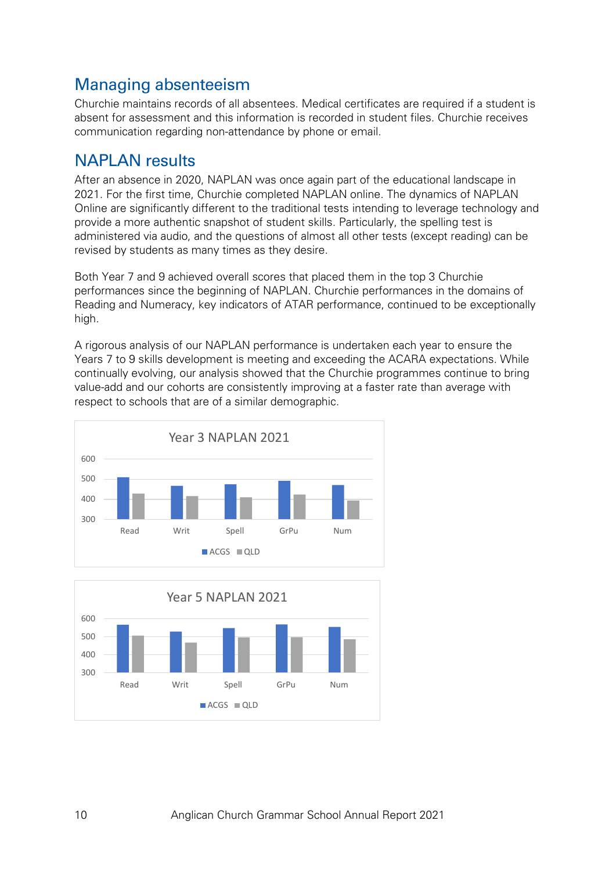# Managing absenteeism

Churchie maintains records of all absentees. Medical certificates are required if a student is absent for assessment and this information is recorded in student files. Churchie receives communication regarding non-attendance by phone or email.

#### NAPLAN results

After an absence in 2020, NAPLAN was once again part of the educational landscape in 2021. For the first time, Churchie completed NAPLAN online. The dynamics of NAPLAN Online are significantly different to the traditional tests intending to leverage technology and provide a more authentic snapshot of student skills. Particularly, the spelling test is administered via audio, and the questions of almost all other tests (except reading) can be revised by students as many times as they desire.

Both Year 7 and 9 achieved overall scores that placed them in the top 3 Churchie performances since the beginning of NAPLAN. Churchie performances in the domains of Reading and Numeracy, key indicators of ATAR performance, continued to be exceptionally high.

A rigorous analysis of our NAPLAN performance is undertaken each year to ensure the Years 7 to 9 skills development is meeting and exceeding the ACARA expectations. While continually evolving, our analysis showed that the Churchie programmes continue to bring value-add and our cohorts are consistently improving at a faster rate than average with respect to schools that are of a similar demographic.



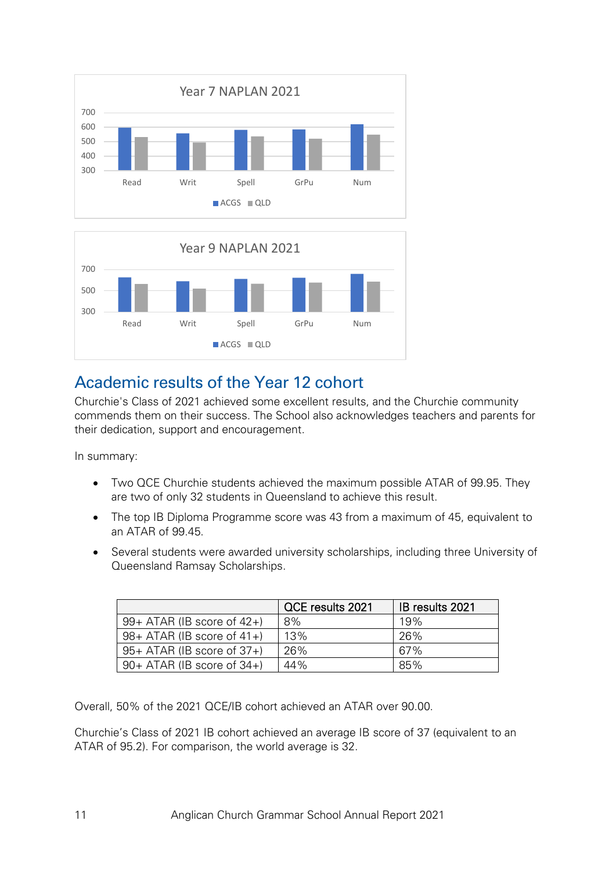



# Academic results of the Year 12 cohort

Churchie's Class of 2021 achieved some excellent results, and the Churchie community commends them on their success. The School also acknowledges teachers and parents for their dedication, support and encouragement.

In summary:

- Two QCE Churchie students achieved the maximum possible ATAR of 99.95. They are two of only 32 students in Queensland to achieve this result.
- The top IB Diploma Programme score was 43 from a maximum of 45, equivalent to an ATAR of 99.45.
- Several students were awarded university scholarships, including three University of Queensland Ramsay Scholarships.

|                                 | QCE results 2021 | IB results 2021 |
|---------------------------------|------------------|-----------------|
| $99+ ATAR$ (IB score of $42+$ ) | 8%               | 19%             |
| $98+ ATAR$ (IB score of 41+)    | 13%              | 26%             |
| $95+ ATAR$ (IB score of $37+$ ) | 26%              | 67%             |
| $90+ ATAR$ (IB score of $34+$ ) | 44%              | 85%             |

Overall, 50% of the 2021 QCE/IB cohort achieved an ATAR over 90.00.

Churchie's Class of 2021 IB cohort achieved an average IB score of 37 (equivalent to an ATAR of 95.2). For comparison, the world average is 32.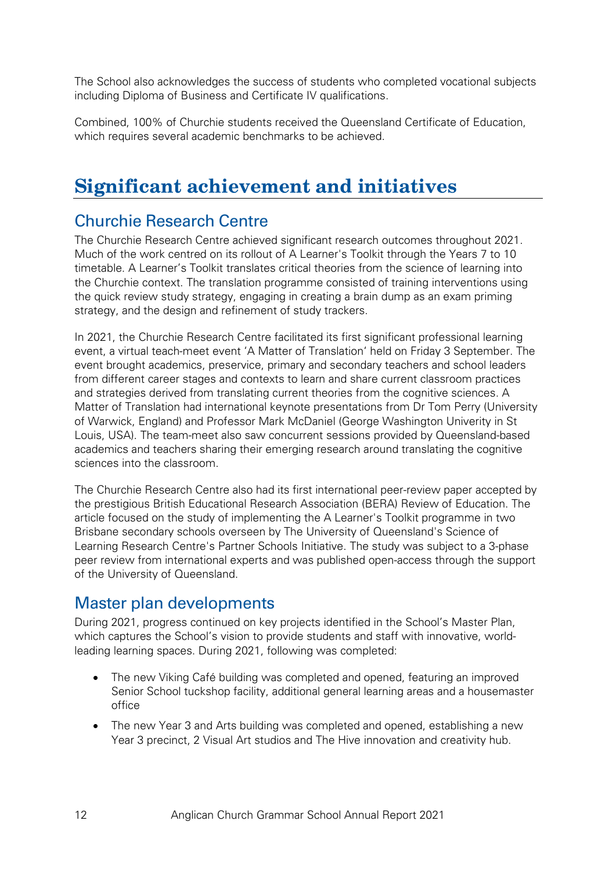The School also acknowledges the success of students who completed vocational subjects including Diploma of Business and Certificate IV qualifications.

Combined, 100% of Churchie students received the Queensland Certificate of Education, which requires several academic benchmarks to be achieved.

# **Significant achievement and initiatives**

# Churchie Research Centre

The Churchie Research Centre achieved significant research outcomes throughout 2021. Much of the work centred on its rollout of A Learner's Toolkit through the Years 7 to 10 timetable. A Learner's Toolkit translates critical theories from the science of learning into the Churchie context. The translation programme consisted of training interventions using the quick review study strategy, engaging in creating a brain dump as an exam priming strategy, and the design and refinement of study trackers.

In 2021, the Churchie Research Centre facilitated its first significant professional learning event, a virtual teach-meet event 'A Matter of Translation' held on Friday 3 September. The event brought academics, preservice, primary and secondary teachers and school leaders from different career stages and contexts to learn and share current classroom practices and strategies derived from translating current theories from the cognitive sciences. A Matter of Translation had international keynote presentations from Dr Tom Perry (University of Warwick, England) and Professor Mark McDaniel (George Washington Univerity in St Louis, USA). The team-meet also saw concurrent sessions provided by Queensland-based academics and teachers sharing their emerging research around translating the cognitive sciences into the classroom.

The Churchie Research Centre also had its first international peer-review paper accepted by the prestigious British Educational Research Association (BERA) Review of Education. The article focused on the study of implementing the A Learner's Toolkit programme in two Brisbane secondary schools overseen by The University of Queensland's Science of Learning Research Centre's Partner Schools Initiative. The study was subject to a 3-phase peer review from international experts and was published open-access through the support of the University of Queensland.

# Master plan developments

During 2021, progress continued on key projects identified in the School's Master Plan, which captures the School's vision to provide students and staff with innovative, worldleading learning spaces. During 2021, following was completed:

- The new Viking Café building was completed and opened, featuring an improved Senior School tuckshop facility, additional general learning areas and a housemaster office
- The new Year 3 and Arts building was completed and opened, establishing a new Year 3 precinct, 2 Visual Art studios and The Hive innovation and creativity hub.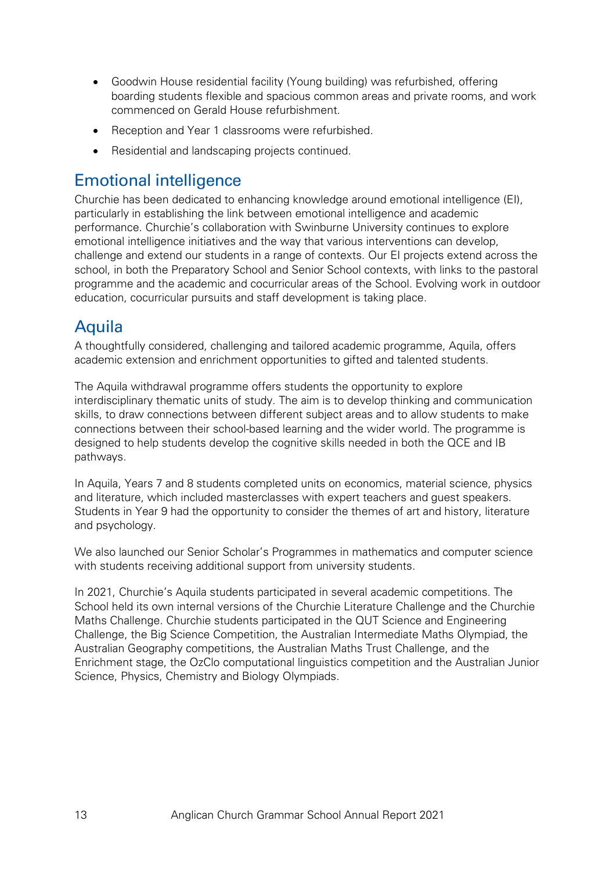- Goodwin House residential facility (Young building) was refurbished, offering boarding students flexible and spacious common areas and private rooms, and work commenced on Gerald House refurbishment.
- Reception and Year 1 classrooms were refurbished.
- Residential and landscaping projects continued.

#### Emotional intelligence

Churchie has been dedicated to enhancing knowledge around emotional intelligence (EI), particularly in establishing the link between emotional intelligence and academic performance. Churchie's collaboration with Swinburne University continues to explore emotional intelligence initiatives and the way that various interventions can develop, challenge and extend our students in a range of contexts. Our EI projects extend across the school, in both the Preparatory School and Senior School contexts, with links to the pastoral programme and the academic and cocurricular areas of the School. Evolving work in outdoor education, cocurricular pursuits and staff development is taking place.

## Aquila

A thoughtfully considered, challenging and tailored academic programme, Aquila, offers academic extension and enrichment opportunities to gifted and talented students.

The Aquila withdrawal programme offers students the opportunity to explore interdisciplinary thematic units of study. The aim is to develop thinking and communication skills, to draw connections between different subject areas and to allow students to make connections between their school-based learning and the wider world. The programme is designed to help students develop the cognitive skills needed in both the QCE and IB pathways.

In Aquila, Years 7 and 8 students completed units on economics, material science, physics and literature, which included masterclasses with expert teachers and guest speakers. Students in Year 9 had the opportunity to consider the themes of art and history, literature and psychology.

We also launched our Senior Scholar's Programmes in mathematics and computer science with students receiving additional support from university students.

In 2021, Churchie's Aquila students participated in several academic competitions. The School held its own internal versions of the Churchie Literature Challenge and the Churchie Maths Challenge. Churchie students participated in the QUT Science and Engineering Challenge, the Big Science Competition, the Australian Intermediate Maths Olympiad, the Australian Geography competitions, the Australian Maths Trust Challenge, and the Enrichment stage, the OzClo computational linguistics competition and the Australian Junior Science, Physics, Chemistry and Biology Olympiads.